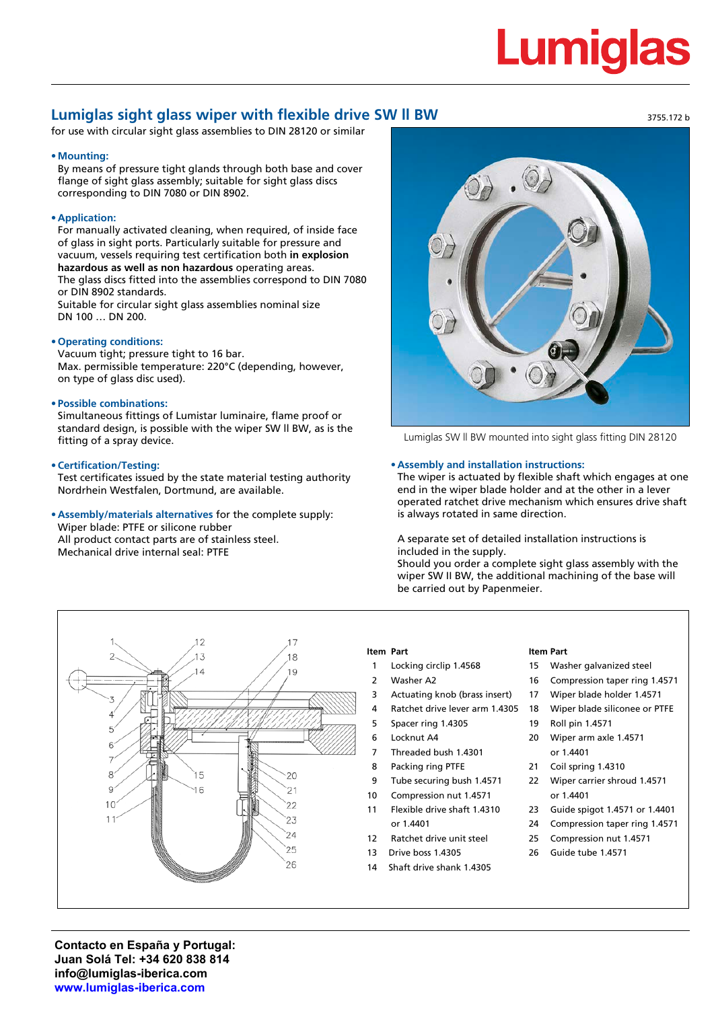## **Lumiglas**

3755.172 b

### **Lumiglas sight glass wiper with flexible drive SW ll BW**

for use with circular sight glass assemblies to DIN 28120 or similar

#### **• Mounting:**

By means of pressure tight glands through both base and cover flange of sight glass assembly; suitable for sight glass discs corresponding to DIN 7080 or DIN 8902.

#### **• Application:**

For manually activated cleaning, when required, of inside face of glass in sight ports. Particularly suitable for pressure and vacuum, vessels requiring test certification both **in explosion hazardous as well as non hazardous** operating areas. The glass discs fitted into the assemblies correspond to DIN 7080 or DIN 8902 standards. Suitable for circular sight glass assemblies nominal size DN 100 … DN 200.

#### **• Operating conditions:**

Vacuum tight; pressure tight to 16 bar. Max. permissible temperature: 220°C (depending, however, on type of glass disc used).

#### **• Possible combinations:**

Simultaneous fittings of Lumistar luminaire, flame proof or standard design, is possible with the wiper SW ll BW, as is the fitting of a spray device.

#### **• Certification/Testing:**

Test certificates issued by the state material testing authority Nordrhein Westfalen, Dortmund, are available.

**• Assembly/materials alternatives** for the complete supply: Wiper blade: PTFE or silicone rubber

All product contact parts are of stainless steel. Mechanical drive internal seal: PTFE



Lumiglas SW ll BW mounted into sight glass fitting DIN 28120

#### **• Assembly and installation instructions:**

The wiper is actuated by flexible shaft which engages at one end in the wiper blade holder and at the other in a lever operated ratchet drive mechanism which ensures drive shaft is always rotated in same direction.

A separate set of detailed installation instructions is included in the supply.

Should you order a complete sight glass assembly with the wiper SW II BW, the additional machining of the base will be carried out by Papenmeier.

**Item Part**



#### **Item Part**

- 1 Locking circlip 1.4568
- 2 Washer A2
- 3 Actuating knob (brass insert)
- 
- 
- 4 Ratchet drive lever arm 1.4305
- 5 Spacer ring 1.4305
- 6 Locknut A4
- 7 Threaded bush 1.4301
- 8 Packing ring PTFE
- 9 Tube securing bush 1.4571
- 10 Compression nut 1.4571
- 11 Flexible drive shaft 1.4310 or 1.4401
- 12 Ratchet drive unit steel
- 13 Drive boss 1.4305
- 14 Shaft drive shank 1.4305

or 1.4401

19 Roll pin 1.4571 20 Wiper arm axle 1.4571

 Washer galvanized steel Compression taper ring 1.4571 Wiper blade holder 1.4571 Wiper blade siliconee or PTFE

- 21 Coil spring 1.4310
- 22 Wiper carrier shroud 1.4571 or 1.4401
- 23 Guide spigot 1.4571 or 1.4401
- 24 Compression taper ring 1.4571
- 25 Compression nut 1.4571
- 26 Guide tube 1.4571

**Contacto en España y Portugal: Juan Solá Tel: +34 620 838 814 info@lumiglas-iberica.com www.lumiglas-iberica.com**